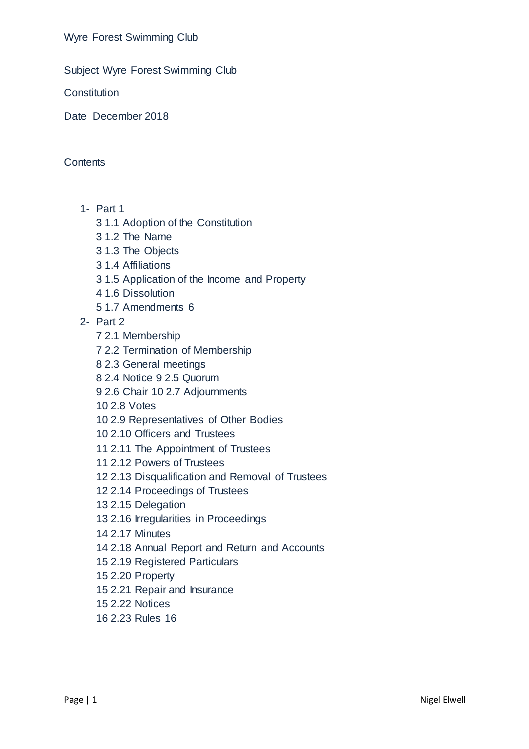Wyre Forest Swimming Club

Subject Wyre Forest Swimming Club

**Constitution** 

Date December 2018

**Contents** 

- 1- Part 1
	- 3 1.1 Adoption of the Constitution
	- 3 1.2 The Name
	- 3 1.3 The Objects
	- 3 1.4 Affiliations
	- 3 1.5 Application of the Income and Property
	- 4 1.6 Dissolution
	- 5 1.7 Amendments 6
- 2- Part 2
	- 7 2.1 Membership
	- 7 2.2 Termination of Membership
	- 8 2.3 General meetings
	- 8 2.4 Notice 9 2.5 Quorum
	- 9 2.6 Chair 10 2.7 Adjournments
	- 10 2.8 Votes
	- 10 2.9 Representatives of Other Bodies
	- 10 2.10 Officers and Trustees
	- 11 2.11 The Appointment of Trustees
	- 11 2.12 Powers of Trustees
	- 12 2.13 Disqualification and Removal of Trustees
	- 12 2.14 Proceedings of Trustees
	- 13 2.15 Delegation
	- 13 2.16 Irregularities in Proceedings
	- 14 2.17 Minutes
	- 14 2.18 Annual Report and Return and Accounts
	- 15 2.19 Registered Particulars
	- 15 2.20 Property
	- 15 2.21 Repair and Insurance
	- 15 2.22 Notices
	- 16 2.23 Rules 16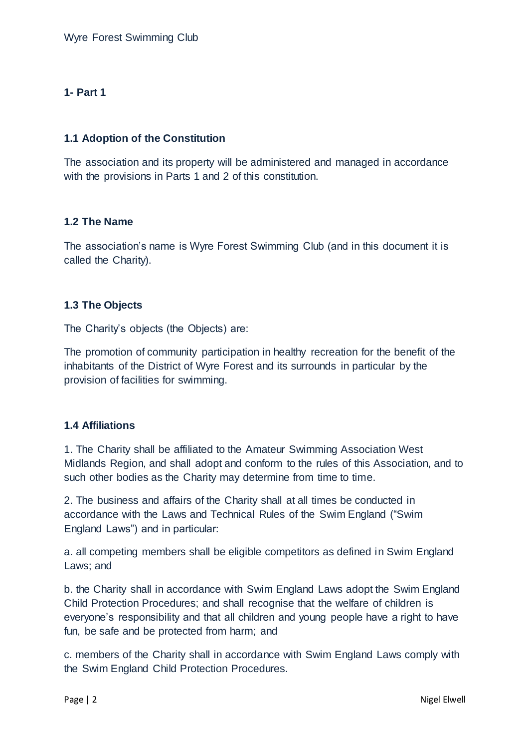# **1- Part 1**

## **1.1 Adoption of the Constitution**

The association and its property will be administered and managed in accordance with the provisions in Parts 1 and 2 of this constitution.

## **1.2 The Name**

The association's name is Wyre Forest Swimming Club (and in this document it is called the Charity).

## **1.3 The Objects**

The Charity's objects (the Objects) are:

The promotion of community participation in healthy recreation for the benefit of the inhabitants of the District of Wyre Forest and its surrounds in particular by the provision of facilities for swimming.

#### **1.4 Affiliations**

1. The Charity shall be affiliated to the Amateur Swimming Association West Midlands Region, and shall adopt and conform to the rules of this Association, and to such other bodies as the Charity may determine from time to time.

2. The business and affairs of the Charity shall at all times be conducted in accordance with the Laws and Technical Rules of the Swim England ("Swim England Laws") and in particular:

a. all competing members shall be eligible competitors as defined in Swim England Laws; and

b. the Charity shall in accordance with Swim England Laws adopt the Swim England Child Protection Procedures; and shall recognise that the welfare of children is everyone's responsibility and that all children and young people have a right to have fun, be safe and be protected from harm; and

c. members of the Charity shall in accordance with Swim England Laws comply with the Swim England Child Protection Procedures.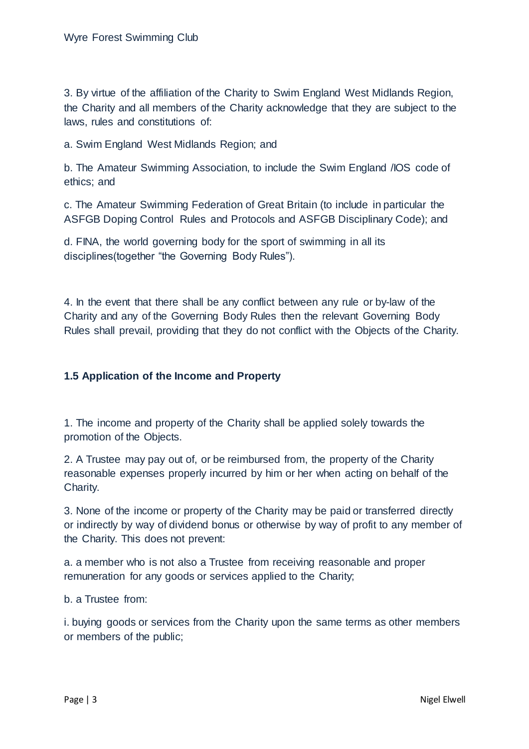3. By virtue of the affiliation of the Charity to Swim England West Midlands Region, the Charity and all members of the Charity acknowledge that they are subject to the laws, rules and constitutions of:

a. Swim England West Midlands Region; and

b. The Amateur Swimming Association, to include the Swim England /IOS code of ethics; and

c. The Amateur Swimming Federation of Great Britain (to include in particular the ASFGB Doping Control Rules and Protocols and ASFGB Disciplinary Code); and

d. FINA, the world governing body for the sport of swimming in all its disciplines(together "the Governing Body Rules").

4. In the event that there shall be any conflict between any rule or by-law of the Charity and any of the Governing Body Rules then the relevant Governing Body Rules shall prevail, providing that they do not conflict with the Objects of the Charity.

## **1.5 Application of the Income and Property**

1. The income and property of the Charity shall be applied solely towards the promotion of the Objects.

2. A Trustee may pay out of, or be reimbursed from, the property of the Charity reasonable expenses properly incurred by him or her when acting on behalf of the Charity.

3. None of the income or property of the Charity may be paid or transferred directly or indirectly by way of dividend bonus or otherwise by way of profit to any member of the Charity. This does not prevent:

a. a member who is not also a Trustee from receiving reasonable and proper remuneration for any goods or services applied to the Charity;

b. a Trustee from:

i. buying goods or services from the Charity upon the same terms as other members or members of the public;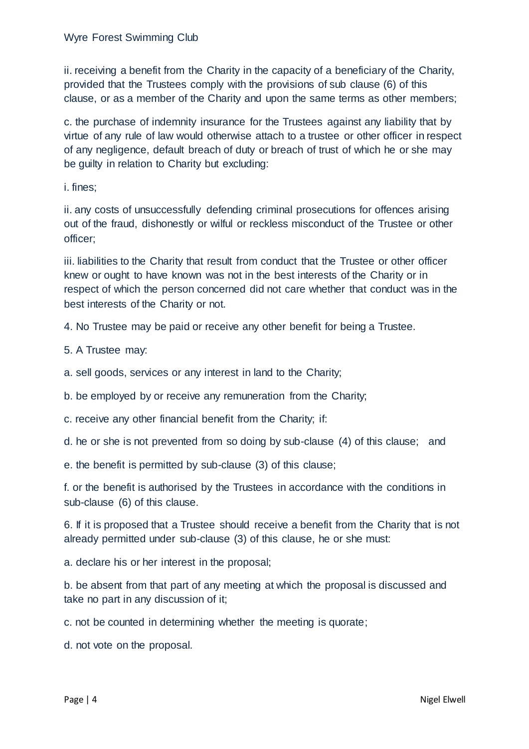ii. receiving a benefit from the Charity in the capacity of a beneficiary of the Charity, provided that the Trustees comply with the provisions of sub clause (6) of this clause, or as a member of the Charity and upon the same terms as other members;

c. the purchase of indemnity insurance for the Trustees against any liability that by virtue of any rule of law would otherwise attach to a trustee or other officer in respect of any negligence, default breach of duty or breach of trust of which he or she may be guilty in relation to Charity but excluding:

i. fines;

ii. any costs of unsuccessfully defending criminal prosecutions for offences arising out of the fraud, dishonestly or wilful or reckless misconduct of the Trustee or other officer;

iii. liabilities to the Charity that result from conduct that the Trustee or other officer knew or ought to have known was not in the best interests of the Charity or in respect of which the person concerned did not care whether that conduct was in the best interests of the Charity or not.

4. No Trustee may be paid or receive any other benefit for being a Trustee.

5. A Trustee may:

a. sell goods, services or any interest in land to the Charity;

b. be employed by or receive any remuneration from the Charity;

c. receive any other financial benefit from the Charity; if:

d. he or she is not prevented from so doing by sub-clause (4) of this clause; and

e. the benefit is permitted by sub-clause (3) of this clause;

f. or the benefit is authorised by the Trustees in accordance with the conditions in sub-clause (6) of this clause.

6. If it is proposed that a Trustee should receive a benefit from the Charity that is not already permitted under sub-clause (3) of this clause, he or she must:

a. declare his or her interest in the proposal;

b. be absent from that part of any meeting at which the proposal is discussed and take no part in any discussion of it;

c. not be counted in determining whether the meeting is quorate;

d. not vote on the proposal.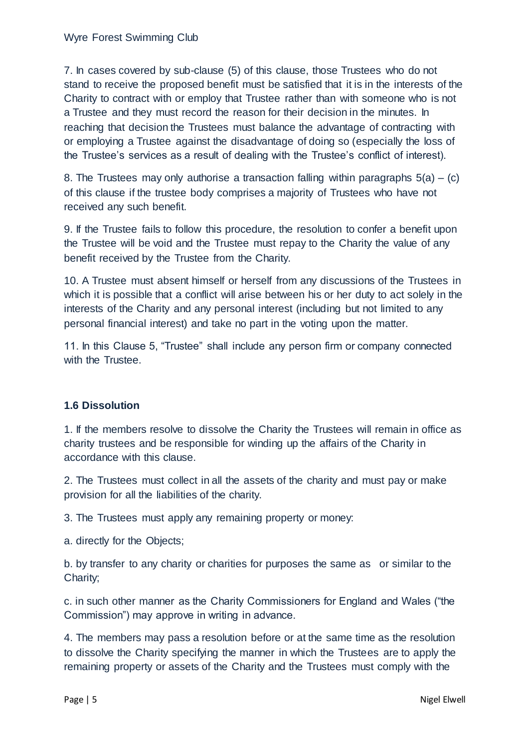7. In cases covered by sub-clause (5) of this clause, those Trustees who do not stand to receive the proposed benefit must be satisfied that it is in the interests of the Charity to contract with or employ that Trustee rather than with someone who is not a Trustee and they must record the reason for their decision in the minutes. In reaching that decision the Trustees must balance the advantage of contracting with or employing a Trustee against the disadvantage of doing so (especially the loss of the Trustee's services as a result of dealing with the Trustee's conflict of interest).

8. The Trustees may only authorise a transaction falling within paragraphs  $5(a) - (c)$ of this clause if the trustee body comprises a majority of Trustees who have not received any such benefit.

9. If the Trustee fails to follow this procedure, the resolution to confer a benefit upon the Trustee will be void and the Trustee must repay to the Charity the value of any benefit received by the Trustee from the Charity.

10. A Trustee must absent himself or herself from any discussions of the Trustees in which it is possible that a conflict will arise between his or her duty to act solely in the interests of the Charity and any personal interest (including but not limited to any personal financial interest) and take no part in the voting upon the matter.

11. In this Clause 5, "Trustee" shall include any person firm or company connected with the Trustee.

# **1.6 Dissolution**

1. If the members resolve to dissolve the Charity the Trustees will remain in office as charity trustees and be responsible for winding up the affairs of the Charity in accordance with this clause.

2. The Trustees must collect in all the assets of the charity and must pay or make provision for all the liabilities of the charity.

3. The Trustees must apply any remaining property or money:

a. directly for the Objects;

b. by transfer to any charity or charities for purposes the same as or similar to the Charity;

c. in such other manner as the Charity Commissioners for England and Wales ("the Commission") may approve in writing in advance.

4. The members may pass a resolution before or at the same time as the resolution to dissolve the Charity specifying the manner in which the Trustees are to apply the remaining property or assets of the Charity and the Trustees must comply with the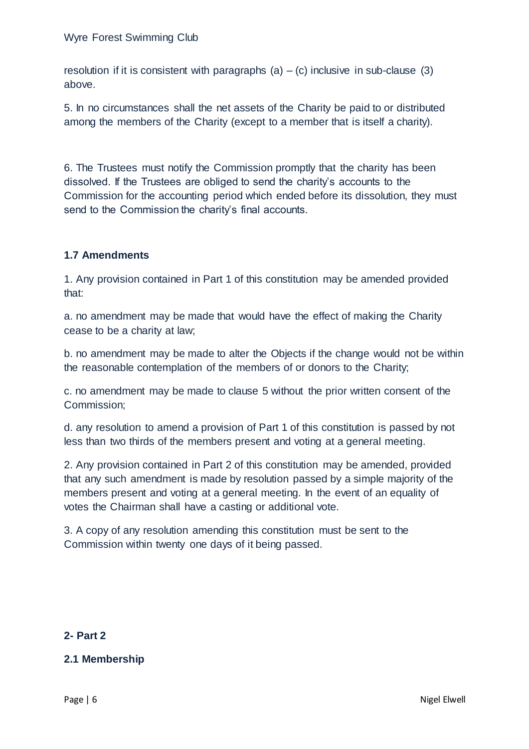resolution if it is consistent with paragraphs (a)  $-$  (c) inclusive in sub-clause (3) above.

5. In no circumstances shall the net assets of the Charity be paid to or distributed among the members of the Charity (except to a member that is itself a charity).

6. The Trustees must notify the Commission promptly that the charity has been dissolved. If the Trustees are obliged to send the charity's accounts to the Commission for the accounting period which ended before its dissolution, they must send to the Commission the charity's final accounts.

# **1.7 Amendments**

1. Any provision contained in Part 1 of this constitution may be amended provided that:

a. no amendment may be made that would have the effect of making the Charity cease to be a charity at law;

b. no amendment may be made to alter the Objects if the change would not be within the reasonable contemplation of the members of or donors to the Charity;

c. no amendment may be made to clause 5 without the prior written consent of the Commission;

d. any resolution to amend a provision of Part 1 of this constitution is passed by not less than two thirds of the members present and voting at a general meeting.

2. Any provision contained in Part 2 of this constitution may be amended, provided that any such amendment is made by resolution passed by a simple majority of the members present and voting at a general meeting. In the event of an equality of votes the Chairman shall have a casting or additional vote.

3. A copy of any resolution amending this constitution must be sent to the Commission within twenty one days of it being passed.

#### **2- Part 2**

# **2.1 Membership**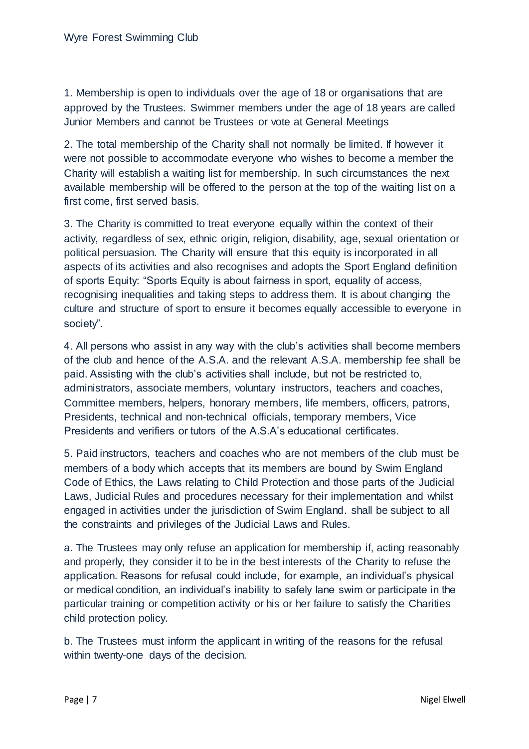1. Membership is open to individuals over the age of 18 or organisations that are approved by the Trustees. Swimmer members under the age of 18 years are called Junior Members and cannot be Trustees or vote at General Meetings

2. The total membership of the Charity shall not normally be limited. If however it were not possible to accommodate everyone who wishes to become a member the Charity will establish a waiting list for membership. In such circumstances the next available membership will be offered to the person at the top of the waiting list on a first come, first served basis.

3. The Charity is committed to treat everyone equally within the context of their activity, regardless of sex, ethnic origin, religion, disability, age, sexual orientation or political persuasion. The Charity will ensure that this equity is incorporated in all aspects of its activities and also recognises and adopts the Sport England definition of sports Equity: "Sports Equity is about fairness in sport, equality of access, recognising inequalities and taking steps to address them. It is about changing the culture and structure of sport to ensure it becomes equally accessible to everyone in society".

4. All persons who assist in any way with the club's activities shall become members of the club and hence of the A.S.A. and the relevant A.S.A. membership fee shall be paid. Assisting with the club's activities shall include, but not be restricted to, administrators, associate members, voluntary instructors, teachers and coaches, Committee members, helpers, honorary members, life members, officers, patrons, Presidents, technical and non-technical officials, temporary members, Vice Presidents and verifiers or tutors of the A.S.A's educational certificates.

5. Paid instructors, teachers and coaches who are not members of the club must be members of a body which accepts that its members are bound by Swim England Code of Ethics, the Laws relating to Child Protection and those parts of the Judicial Laws, Judicial Rules and procedures necessary for their implementation and whilst engaged in activities under the jurisdiction of Swim England. shall be subject to all the constraints and privileges of the Judicial Laws and Rules.

a. The Trustees may only refuse an application for membership if, acting reasonably and properly, they consider it to be in the best interests of the Charity to refuse the application. Reasons for refusal could include, for example, an individual's physical or medical condition, an individual's inability to safely lane swim or participate in the particular training or competition activity or his or her failure to satisfy the Charities child protection policy.

b. The Trustees must inform the applicant in writing of the reasons for the refusal within twenty-one days of the decision.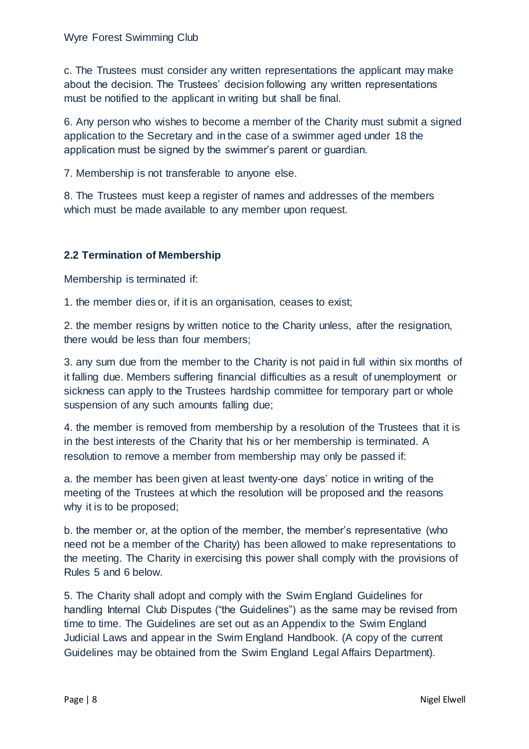c. The Trustees must consider any written representations the applicant may make about the decision. The Trustees' decision following any written representations must be notified to the applicant in writing but shall be final.

6. Any person who wishes to become a member of the Charity must submit a signed application to the Secretary and in the case of a swimmer aged under 18 the application must be signed by the swimmer's parent or guardian.

7. Membership is not transferable to anyone else.

8. The Trustees must keep a register of names and addresses of the members which must be made available to any member upon request.

# **2.2 Termination of Membership**

Membership is terminated if:

1. the member dies or, if it is an organisation, ceases to exist;

2. the member resigns by written notice to the Charity unless, after the resignation, there would be less than four members;

3. any sum due from the member to the Charity is not paid in full within six months of it falling due. Members suffering financial difficulties as a result of unemployment or sickness can apply to the Trustees hardship committee for temporary part or whole suspension of any such amounts falling due;

4. the member is removed from membership by a resolution of the Trustees that it is in the best interests of the Charity that his or her membership is terminated. A resolution to remove a member from membership may only be passed if:

a. the member has been given at least twenty-one days' notice in writing of the meeting of the Trustees at which the resolution will be proposed and the reasons why it is to be proposed;

b. the member or, at the option of the member, the member's representative (who need not be a member of the Charity) has been allowed to make representations to the meeting. The Charity in exercising this power shall comply with the provisions of Rules 5 and 6 below.

5. The Charity shall adopt and comply with the Swim England Guidelines for handling Internal Club Disputes ("the Guidelines") as the same may be revised from time to time. The Guidelines are set out as an Appendix to the Swim England Judicial Laws and appear in the Swim England Handbook. (A copy of the current Guidelines may be obtained from the Swim England Legal Affairs Department).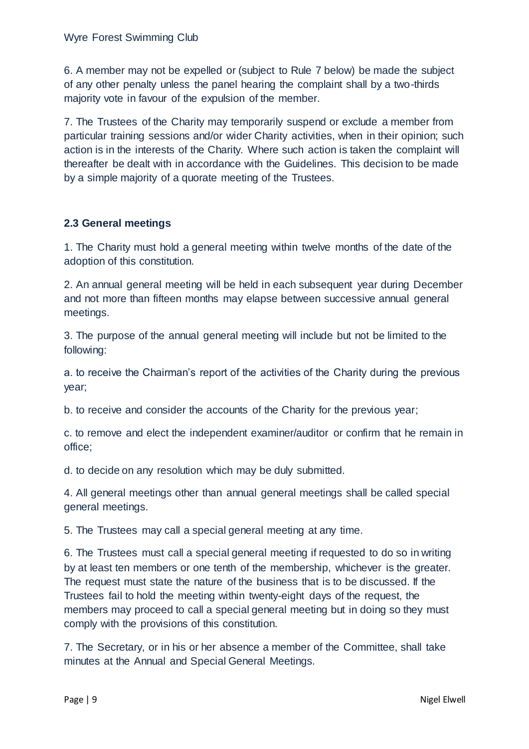6. A member may not be expelled or (subject to Rule 7 below) be made the subject of any other penalty unless the panel hearing the complaint shall by a two-thirds majority vote in favour of the expulsion of the member.

7. The Trustees of the Charity may temporarily suspend or exclude a member from particular training sessions and/or wider Charity activities, when in their opinion; such action is in the interests of the Charity. Where such action is taken the complaint will thereafter be dealt with in accordance with the Guidelines. This decision to be made by a simple majority of a quorate meeting of the Trustees.

## **2.3 General meetings**

1. The Charity must hold a general meeting within twelve months of the date of the adoption of this constitution.

2. An annual general meeting will be held in each subsequent year during December and not more than fifteen months may elapse between successive annual general meetings.

3. The purpose of the annual general meeting will include but not be limited to the following:

a. to receive the Chairman's report of the activities of the Charity during the previous year;

b. to receive and consider the accounts of the Charity for the previous year;

c. to remove and elect the independent examiner/auditor or confirm that he remain in office;

d. to decide on any resolution which may be duly submitted.

4. All general meetings other than annual general meetings shall be called special general meetings.

5. The Trustees may call a special general meeting at any time.

6. The Trustees must call a special general meeting if requested to do so in writing by at least ten members or one tenth of the membership, whichever is the greater. The request must state the nature of the business that is to be discussed. If the Trustees fail to hold the meeting within twenty-eight days of the request, the members may proceed to call a special general meeting but in doing so they must comply with the provisions of this constitution.

7. The Secretary, or in his or her absence a member of the Committee, shall take minutes at the Annual and Special General Meetings.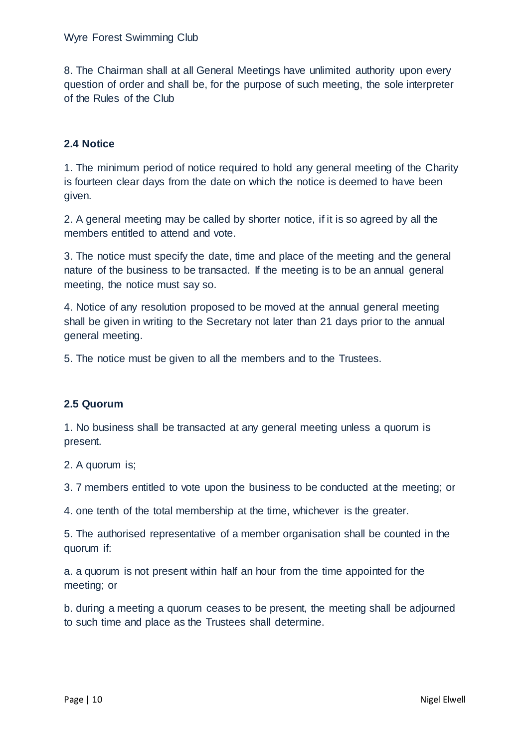8. The Chairman shall at all General Meetings have unlimited authority upon every question of order and shall be, for the purpose of such meeting, the sole interpreter of the Rules of the Club

## **2.4 Notice**

1. The minimum period of notice required to hold any general meeting of the Charity is fourteen clear days from the date on which the notice is deemed to have been given.

2. A general meeting may be called by shorter notice, if it is so agreed by all the members entitled to attend and vote.

3. The notice must specify the date, time and place of the meeting and the general nature of the business to be transacted. If the meeting is to be an annual general meeting, the notice must say so.

4. Notice of any resolution proposed to be moved at the annual general meeting shall be given in writing to the Secretary not later than 21 days prior to the annual general meeting.

5. The notice must be given to all the members and to the Trustees.

#### **2.5 Quorum**

1. No business shall be transacted at any general meeting unless a quorum is present.

2. A quorum is;

3. 7 members entitled to vote upon the business to be conducted at the meeting; or

4. one tenth of the total membership at the time, whichever is the greater.

5. The authorised representative of a member organisation shall be counted in the quorum if:

a. a quorum is not present within half an hour from the time appointed for the meeting; or

b. during a meeting a quorum ceases to be present, the meeting shall be adjourned to such time and place as the Trustees shall determine.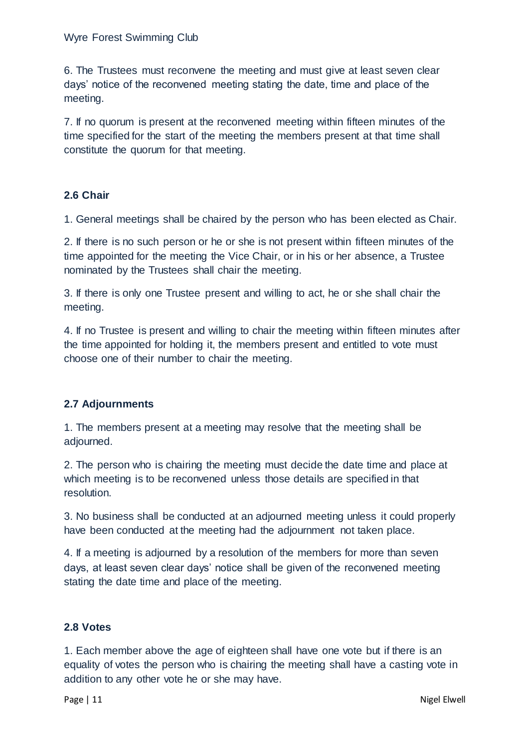6. The Trustees must reconvene the meeting and must give at least seven clear days' notice of the reconvened meeting stating the date, time and place of the meeting.

7. If no quorum is present at the reconvened meeting within fifteen minutes of the time specified for the start of the meeting the members present at that time shall constitute the quorum for that meeting.

## **2.6 Chair**

1. General meetings shall be chaired by the person who has been elected as Chair.

2. If there is no such person or he or she is not present within fifteen minutes of the time appointed for the meeting the Vice Chair, or in his or her absence, a Trustee nominated by the Trustees shall chair the meeting.

3. If there is only one Trustee present and willing to act, he or she shall chair the meeting.

4. If no Trustee is present and willing to chair the meeting within fifteen minutes after the time appointed for holding it, the members present and entitled to vote must choose one of their number to chair the meeting.

# **2.7 Adjournments**

1. The members present at a meeting may resolve that the meeting shall be adjourned.

2. The person who is chairing the meeting must decide the date time and place at which meeting is to be reconvened unless those details are specified in that resolution.

3. No business shall be conducted at an adjourned meeting unless it could properly have been conducted at the meeting had the adjournment not taken place.

4. If a meeting is adjourned by a resolution of the members for more than seven days, at least seven clear days' notice shall be given of the reconvened meeting stating the date time and place of the meeting.

#### **2.8 Votes**

1. Each member above the age of eighteen shall have one vote but if there is an equality of votes the person who is chairing the meeting shall have a casting vote in addition to any other vote he or she may have.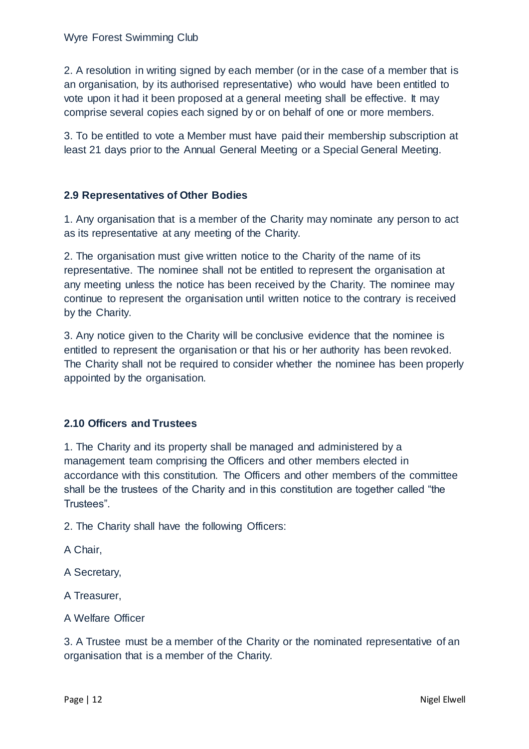2. A resolution in writing signed by each member (or in the case of a member that is an organisation, by its authorised representative) who would have been entitled to vote upon it had it been proposed at a general meeting shall be effective. It may comprise several copies each signed by or on behalf of one or more members.

3. To be entitled to vote a Member must have paid their membership subscription at least 21 days prior to the Annual General Meeting or a Special General Meeting.

#### **2.9 Representatives of Other Bodies**

1. Any organisation that is a member of the Charity may nominate any person to act as its representative at any meeting of the Charity.

2. The organisation must give written notice to the Charity of the name of its representative. The nominee shall not be entitled to represent the organisation at any meeting unless the notice has been received by the Charity. The nominee may continue to represent the organisation until written notice to the contrary is received by the Charity.

3. Any notice given to the Charity will be conclusive evidence that the nominee is entitled to represent the organisation or that his or her authority has been revoked. The Charity shall not be required to consider whether the nominee has been properly appointed by the organisation.

# **2.10 Officers and Trustees**

1. The Charity and its property shall be managed and administered by a management team comprising the Officers and other members elected in accordance with this constitution. The Officers and other members of the committee shall be the trustees of the Charity and in this constitution are together called "the Trustees".

2. The Charity shall have the following Officers:

A Chair,

A Secretary,

A Treasurer,

A Welfare Officer

3. A Trustee must be a member of the Charity or the nominated representative of an organisation that is a member of the Charity.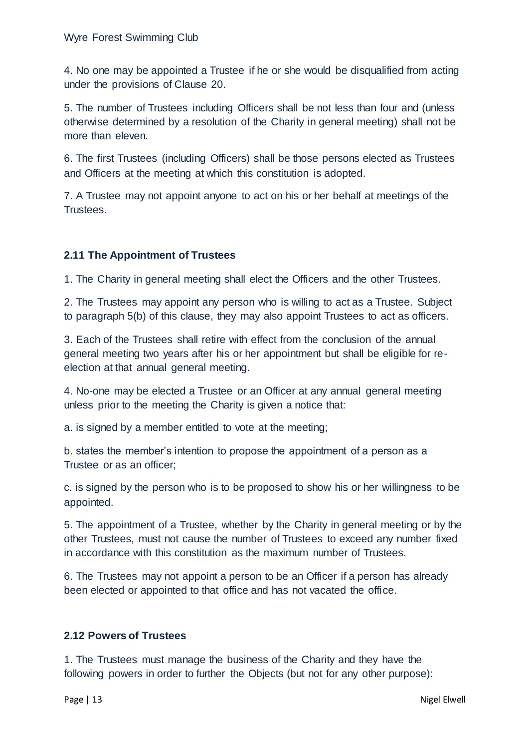4. No one may be appointed a Trustee if he or she would be disqualified from acting under the provisions of Clause 20.

5. The number of Trustees including Officers shall be not less than four and (unless otherwise determined by a resolution of the Charity in general meeting) shall not be more than eleven.

6. The first Trustees (including Officers) shall be those persons elected as Trustees and Officers at the meeting at which this constitution is adopted.

7. A Trustee may not appoint anyone to act on his or her behalf at meetings of the Trustees.

# **2.11 The Appointment of Trustees**

1. The Charity in general meeting shall elect the Officers and the other Trustees.

2. The Trustees may appoint any person who is willing to act as a Trustee. Subject to paragraph 5(b) of this clause, they may also appoint Trustees to act as officers.

3. Each of the Trustees shall retire with effect from the conclusion of the annual general meeting two years after his or her appointment but shall be eligible for reelection at that annual general meeting.

4. No-one may be elected a Trustee or an Officer at any annual general meeting unless prior to the meeting the Charity is given a notice that:

a. is signed by a member entitled to vote at the meeting;

b. states the member's intention to propose the appointment of a person as a Trustee or as an officer;

c. is signed by the person who is to be proposed to show his or her willingness to be appointed.

5. The appointment of a Trustee, whether by the Charity in general meeting or by the other Trustees, must not cause the number of Trustees to exceed any number fixed in accordance with this constitution as the maximum number of Trustees.

6. The Trustees may not appoint a person to be an Officer if a person has already been elected or appointed to that office and has not vacated the office.

# **2.12 Powers of Trustees**

1. The Trustees must manage the business of the Charity and they have the following powers in order to further the Objects (but not for any other purpose):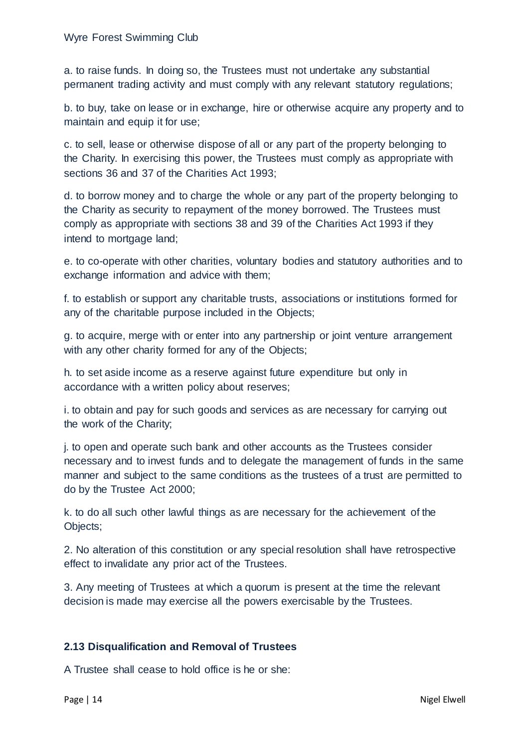a. to raise funds. In doing so, the Trustees must not undertake any substantial permanent trading activity and must comply with any relevant statutory regulations;

b. to buy, take on lease or in exchange, hire or otherwise acquire any property and to maintain and equip it for use;

c. to sell, lease or otherwise dispose of all or any part of the property belonging to the Charity. In exercising this power, the Trustees must comply as appropriate with sections 36 and 37 of the Charities Act 1993;

d. to borrow money and to charge the whole or any part of the property belonging to the Charity as security to repayment of the money borrowed. The Trustees must comply as appropriate with sections 38 and 39 of the Charities Act 1993 if they intend to mortgage land;

e. to co-operate with other charities, voluntary bodies and statutory authorities and to exchange information and advice with them;

f. to establish or support any charitable trusts, associations or institutions formed for any of the charitable purpose included in the Objects;

g. to acquire, merge with or enter into any partnership or joint venture arrangement with any other charity formed for any of the Objects;

h. to set aside income as a reserve against future expenditure but only in accordance with a written policy about reserves;

i. to obtain and pay for such goods and services as are necessary for carrying out the work of the Charity;

j. to open and operate such bank and other accounts as the Trustees consider necessary and to invest funds and to delegate the management of funds in the same manner and subject to the same conditions as the trustees of a trust are permitted to do by the Trustee Act 2000;

k. to do all such other lawful things as are necessary for the achievement of the Objects;

2. No alteration of this constitution or any special resolution shall have retrospective effect to invalidate any prior act of the Trustees.

3. Any meeting of Trustees at which a quorum is present at the time the relevant decision is made may exercise all the powers exercisable by the Trustees.

# **2.13 Disqualification and Removal of Trustees**

A Trustee shall cease to hold office is he or she: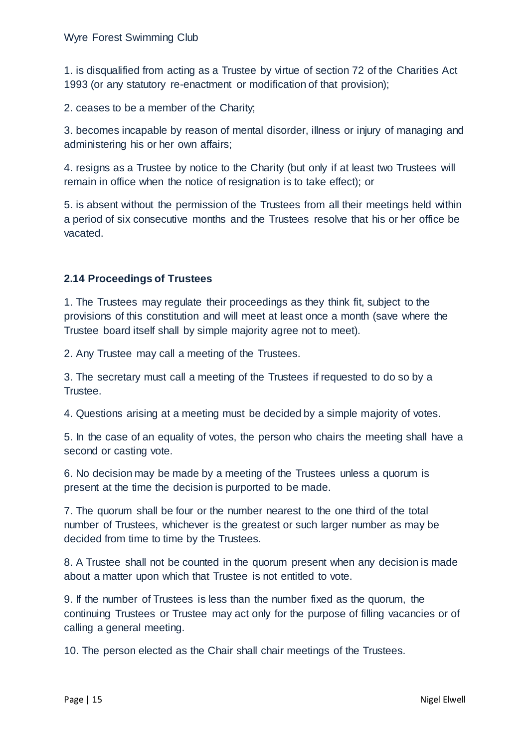1. is disqualified from acting as a Trustee by virtue of section 72 of the Charities Act 1993 (or any statutory re-enactment or modification of that provision);

2. ceases to be a member of the Charity;

3. becomes incapable by reason of mental disorder, illness or injury of managing and administering his or her own affairs;

4. resigns as a Trustee by notice to the Charity (but only if at least two Trustees will remain in office when the notice of resignation is to take effect); or

5. is absent without the permission of the Trustees from all their meetings held within a period of six consecutive months and the Trustees resolve that his or her office be vacated.

## **2.14 Proceedings of Trustees**

1. The Trustees may regulate their proceedings as they think fit, subject to the provisions of this constitution and will meet at least once a month (save where the Trustee board itself shall by simple majority agree not to meet).

2. Any Trustee may call a meeting of the Trustees.

3. The secretary must call a meeting of the Trustees if requested to do so by a Trustee.

4. Questions arising at a meeting must be decided by a simple majority of votes.

5. In the case of an equality of votes, the person who chairs the meeting shall have a second or casting vote.

6. No decision may be made by a meeting of the Trustees unless a quorum is present at the time the decision is purported to be made.

7. The quorum shall be four or the number nearest to the one third of the total number of Trustees, whichever is the greatest or such larger number as may be decided from time to time by the Trustees.

8. A Trustee shall not be counted in the quorum present when any decision is made about a matter upon which that Trustee is not entitled to vote.

9. If the number of Trustees is less than the number fixed as the quorum, the continuing Trustees or Trustee may act only for the purpose of filling vacancies or of calling a general meeting.

10. The person elected as the Chair shall chair meetings of the Trustees.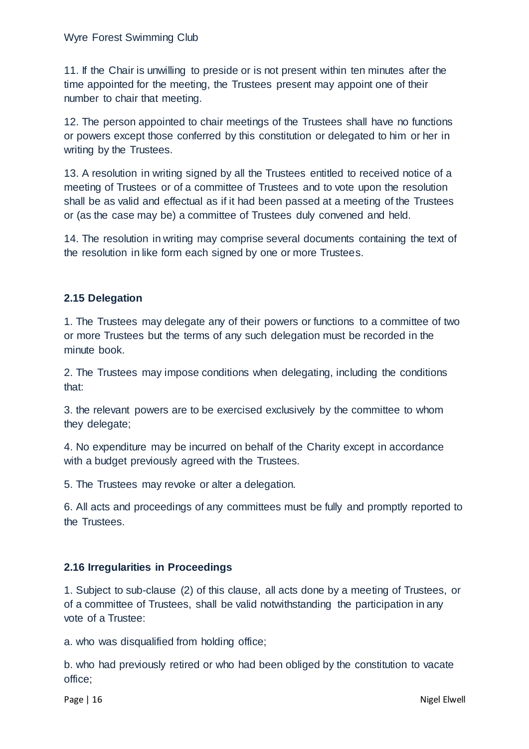11. If the Chair is unwilling to preside or is not present within ten minutes after the time appointed for the meeting, the Trustees present may appoint one of their number to chair that meeting.

12. The person appointed to chair meetings of the Trustees shall have no functions or powers except those conferred by this constitution or delegated to him or her in writing by the Trustees.

13. A resolution in writing signed by all the Trustees entitled to received notice of a meeting of Trustees or of a committee of Trustees and to vote upon the resolution shall be as valid and effectual as if it had been passed at a meeting of the Trustees or (as the case may be) a committee of Trustees duly convened and held.

14. The resolution in writing may comprise several documents containing the text of the resolution in like form each signed by one or more Trustees.

## **2.15 Delegation**

1. The Trustees may delegate any of their powers or functions to a committee of two or more Trustees but the terms of any such delegation must be recorded in the minute book.

2. The Trustees may impose conditions when delegating, including the conditions that:

3. the relevant powers are to be exercised exclusively by the committee to whom they delegate;

4. No expenditure may be incurred on behalf of the Charity except in accordance with a budget previously agreed with the Trustees.

5. The Trustees may revoke or alter a delegation.

6. All acts and proceedings of any committees must be fully and promptly reported to the Trustees.

#### **2.16 Irregularities in Proceedings**

1. Subject to sub-clause (2) of this clause, all acts done by a meeting of Trustees, or of a committee of Trustees, shall be valid notwithstanding the participation in any vote of a Trustee:

a. who was disqualified from holding office;

b. who had previously retired or who had been obliged by the constitution to vacate office;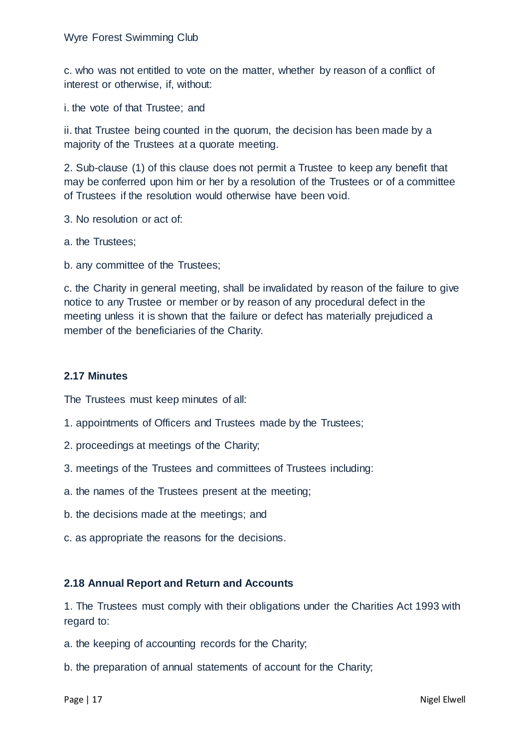c. who was not entitled to vote on the matter, whether by reason of a conflict of interest or otherwise, if, without:

i. the vote of that Trustee; and

ii. that Trustee being counted in the quorum, the decision has been made by a majority of the Trustees at a quorate meeting.

2. Sub-clause (1) of this clause does not permit a Trustee to keep any benefit that may be conferred upon him or her by a resolution of the Trustees or of a committee of Trustees if the resolution would otherwise have been void.

3. No resolution or act of:

a. the Trustees;

b. any committee of the Trustees;

c. the Charity in general meeting, shall be invalidated by reason of the failure to give notice to any Trustee or member or by reason of any procedural defect in the meeting unless it is shown that the failure or defect has materially prejudiced a member of the beneficiaries of the Charity.

#### **2.17 Minutes**

The Trustees must keep minutes of all:

- 1. appointments of Officers and Trustees made by the Trustees;
- 2. proceedings at meetings of the Charity;
- 3. meetings of the Trustees and committees of Trustees including:
- a. the names of the Trustees present at the meeting;
- b. the decisions made at the meetings; and
- c. as appropriate the reasons for the decisions.

#### **2.18 Annual Report and Return and Accounts**

1. The Trustees must comply with their obligations under the Charities Act 1993 with regard to:

- a. the keeping of accounting records for the Charity;
- b. the preparation of annual statements of account for the Charity;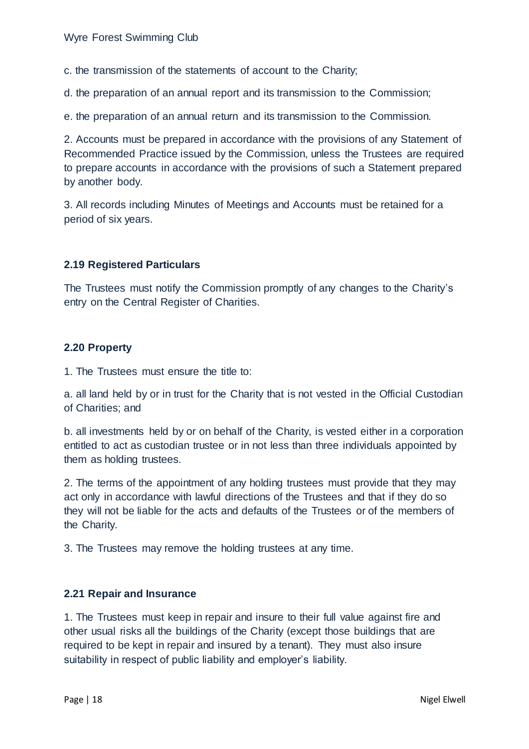c. the transmission of the statements of account to the Charity;

d. the preparation of an annual report and its transmission to the Commission;

e. the preparation of an annual return and its transmission to the Commission.

2. Accounts must be prepared in accordance with the provisions of any Statement of Recommended Practice issued by the Commission, unless the Trustees are required to prepare accounts in accordance with the provisions of such a Statement prepared by another body.

3. All records including Minutes of Meetings and Accounts must be retained for a period of six years.

#### **2.19 Registered Particulars**

The Trustees must notify the Commission promptly of any changes to the Charity's entry on the Central Register of Charities.

#### **2.20 Property**

1. The Trustees must ensure the title to:

a. all land held by or in trust for the Charity that is not vested in the Official Custodian of Charities; and

b. all investments held by or on behalf of the Charity, is vested either in a corporation entitled to act as custodian trustee or in not less than three individuals appointed by them as holding trustees.

2. The terms of the appointment of any holding trustees must provide that they may act only in accordance with lawful directions of the Trustees and that if they do so they will not be liable for the acts and defaults of the Trustees or of the members of the Charity.

3. The Trustees may remove the holding trustees at any time.

#### **2.21 Repair and Insurance**

1. The Trustees must keep in repair and insure to their full value against fire and other usual risks all the buildings of the Charity (except those buildings that are required to be kept in repair and insured by a tenant). They must also insure suitability in respect of public liability and employer's liability.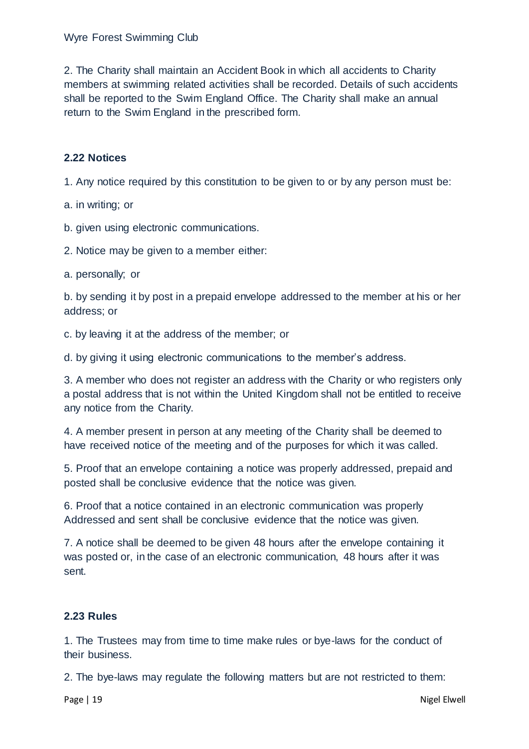2. The Charity shall maintain an Accident Book in which all accidents to Charity members at swimming related activities shall be recorded. Details of such accidents shall be reported to the Swim England Office. The Charity shall make an annual return to the Swim England in the prescribed form.

## **2.22 Notices**

1. Any notice required by this constitution to be given to or by any person must be:

a. in writing; or

b. given using electronic communications.

2. Notice may be given to a member either:

a. personally; or

b. by sending it by post in a prepaid envelope addressed to the member at his or her address; or

c. by leaving it at the address of the member; or

d. by giving it using electronic communications to the member's address.

3. A member who does not register an address with the Charity or who registers only a postal address that is not within the United Kingdom shall not be entitled to receive any notice from the Charity.

4. A member present in person at any meeting of the Charity shall be deemed to have received notice of the meeting and of the purposes for which it was called.

5. Proof that an envelope containing a notice was properly addressed, prepaid and posted shall be conclusive evidence that the notice was given.

6. Proof that a notice contained in an electronic communication was properly Addressed and sent shall be conclusive evidence that the notice was given.

7. A notice shall be deemed to be given 48 hours after the envelope containing it was posted or, in the case of an electronic communication, 48 hours after it was sent.

#### **2.23 Rules**

1. The Trustees may from time to time make rules or bye-laws for the conduct of their business.

2. The bye-laws may regulate the following matters but are not restricted to them: